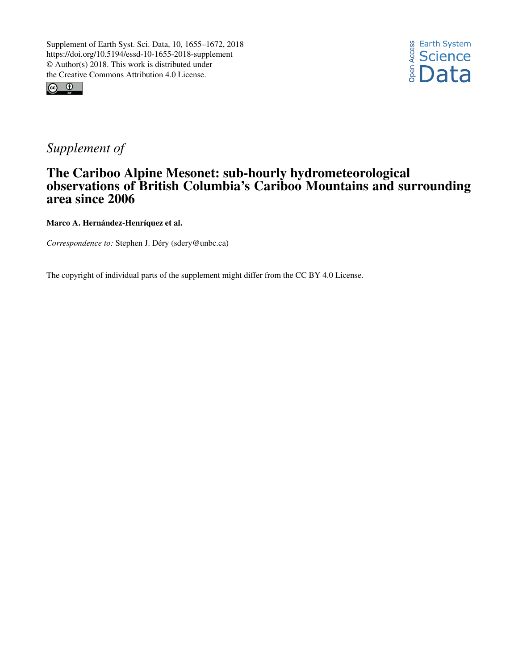



## *Supplement of*

## The Cariboo Alpine Mesonet: sub-hourly hydrometeorological observations of British Columbia's Cariboo Mountains and surrounding area since 2006

Marco A. Hernández-Henríquez et al.

*Correspondence to:* Stephen J. Déry (sdery@unbc.ca)

The copyright of individual parts of the supplement might differ from the CC BY 4.0 License.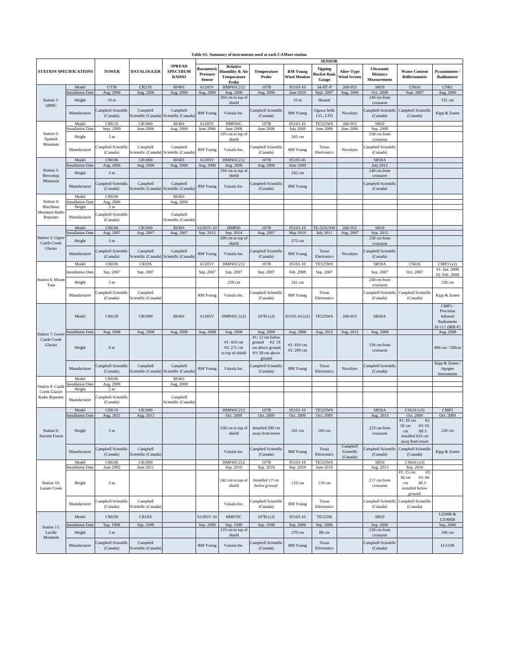| <b>STATION SPECIFICATIONS</b>                                                 |                                    | <b>TOWER</b>                                 | <b>DATALOGGER</b>               | <b>SPREAD</b><br><b>SPECTRUM</b><br><b>RADIO</b>    | <b>SENSOR</b>                                         |                                                                         |                                                                                 |                                        |                                               |                                         |                                                            |                                                                                                            |                                                                  |
|-------------------------------------------------------------------------------|------------------------------------|----------------------------------------------|---------------------------------|-----------------------------------------------------|-------------------------------------------------------|-------------------------------------------------------------------------|---------------------------------------------------------------------------------|----------------------------------------|-----------------------------------------------|-----------------------------------------|------------------------------------------------------------|------------------------------------------------------------------------------------------------------------|------------------------------------------------------------------|
|                                                                               |                                    |                                              |                                 |                                                     | <b>Barometric</b><br><b>Pressure</b><br><b>Sensor</b> | <b>Relative</b><br>Humidity & Air<br><b>Temperature</b><br><b>Probe</b> | <b>Temperature</b><br><b>Probe</b>                                              | <b>RM Young</b><br><b>Wind Monitor</b> | <b>Tipping</b><br><b>Bucket Rain</b><br>Gauge | <b>Alter-Type</b><br><b>Wind Screen</b> | <b>Ultrasonic</b><br><b>Distance</b><br><b>Measurement</b> | <b>Water Content</b><br>Reflectometer                                                                      | <b>Pyranometer</b> /<br>Radiometer                               |
| Station 1:<br><b>QRRC</b>                                                     | Model<br><b>Installation Date</b>  | <b>UT30</b>                                  | CR23X                           | <b>RF401</b>                                        | 61205V                                                | HMP45C212                                                               | 107B                                                                            | 05103-10<br>June 2010                  | 34-HT-P                                       | 260-953                                 | <b>SR50</b><br>Oct. 2008                                   | CS616                                                                                                      | CNR1                                                             |
|                                                                               | Height                             | Aug. 2006<br>10 <sub>m</sub>                 | Aug. 2006                       | Aug. 2006                                           | Aug. 2006                                             | Aug. 2006<br>204 cm to top of                                           | Aug. 2006                                                                       | 10 <sub>m</sub>                        | Sept. 2007<br>Heated                          | Aug. 2006                               | 240 cm from                                                | Sept. 2007                                                                                                 | Aug. 2006<br>531 cm                                              |
|                                                                               | Manufacturer                       | Campbell Scientific<br>(Canada)              | Campbell                        | Campbell<br>Scientific (Canada) Scientific (Canada) | <b>RM</b> Young                                       | shield<br>Vaisala Inc.                                                  | Campbell Scientific<br>(Canada)                                                 | <b>RM</b> Young                        | Ogawa Seiki<br>CO., LTD                       | Novalynx                                | crossarm<br>(Canada)                                       | Campbell Scientific Campbell Scientific<br>(Canada)                                                        | Kipp & Zonen                                                     |
|                                                                               | Model                              | <b>CM110</b>                                 | CR1000                          | <b>RF401</b>                                        | 61205V                                                | HMP45C                                                                  | 107B                                                                            | 05103-10                               | <b>TE525WS</b>                                | 260-953                                 | <b>SR50</b>                                                |                                                                                                            |                                                                  |
| Station 2:<br>Spanish<br>Mountain                                             | <b>Installation Date</b>           | Sept. 2009                                   | June 2006                       | Aug. 2006                                           | June 2006                                             | June 2006<br>195 cm to top of                                           | June 2006                                                                       | <b>July 2008</b>                       | <b>June 2006</b>                              | June 2006                               | Sep. 2009<br>230 cm from                                   |                                                                                                            |                                                                  |
|                                                                               | Height                             | 3 <sub>m</sub>                               |                                 |                                                     |                                                       | shield                                                                  |                                                                                 | 265 cm                                 |                                               |                                         | crossarm                                                   |                                                                                                            |                                                                  |
|                                                                               | Manufacturer                       | Campbell Scientific<br>(Canada)              | Campbell                        | Campbell<br>Scientific (Canada) Scientific (Canada) | RM Young                                              | Vaisala Inc.                                                            | Campbell Scientific<br>(Canada)                                                 | RM Young                               | Texas<br>Electronics                          | Novalynx                                | Campbell Scientific<br>(Canada)                            |                                                                                                            |                                                                  |
|                                                                               | Model<br><b>Installation Date</b>  | <b>CM106</b><br>Aug. 2006                    | <b>CR1000</b><br>Aug. 2006      | <b>RF401</b><br>Aug. 2006                           | 61205V<br>Aug. 2006                                   | HMP45C212<br>Aug. 2006                                                  | 107B<br>Aug. 2006                                                               | 05103-45<br>June 2009                  |                                               |                                         | SR50A<br>July 2012                                         |                                                                                                            |                                                                  |
| Station 3:<br><b>Browntop</b><br>Mountain                                     | Height                             | 3 <sub>m</sub>                               |                                 |                                                     |                                                       | 194 cm to top of<br>shield                                              |                                                                                 | 242 cm                                 |                                               |                                         | 240 cm from<br>crossarm                                    |                                                                                                            |                                                                  |
|                                                                               | Manufacturer                       | Campbell Scientific<br>(Canada)              | Campbell                        | Campbell<br>Scientific (Canada) Scientific (Canada) | RM Young                                              | Vaisala Inc.                                                            | Campbell Scientific<br>(Canada)                                                 | <b>RM</b> Young                        |                                               |                                         | Campbell Scientific<br>(Canada)                            |                                                                                                            |                                                                  |
|                                                                               | Model                              | CM106                                        |                                 | <b>RF401</b>                                        |                                                       |                                                                         |                                                                                 |                                        |                                               |                                         |                                                            |                                                                                                            |                                                                  |
| Station 4:<br>Blackbear                                                       | <b>Installation Date</b><br>Height | Aug. 2006<br>3 <sub>m</sub>                  |                                 | Aug. 2006                                           |                                                       |                                                                         |                                                                                 |                                        |                                               |                                         |                                                            |                                                                                                            |                                                                  |
| Mountain Radio<br>Repeater                                                    | Manufacturer                       | Campbell Scientific<br>(Canada)              |                                 | Campbell<br>Scientific (Canada)                     |                                                       |                                                                         |                                                                                 |                                        |                                               |                                         |                                                            |                                                                                                            |                                                                  |
|                                                                               | Model<br><b>Installation Date</b>  | <b>CM106</b><br>Aug. 2007                    | <b>CR1000</b><br>Aug. 2007      | <b>RF401</b><br>Aug. 2007                           | 61205V-10<br>Sep. 2013                                | HMP60<br>Sep. 2014                                                      | 107B<br>Aug. 2007                                                               | 05103-10<br>May 2010                   | <b>TE-525USW</b><br><b>July 2011</b>          | 260-953<br>Aug. 2007                    | <b>SR50</b><br>Sep. 2015                                   |                                                                                                            |                                                                  |
| Station 5: Upper<br><b>Castle Creek</b><br>Glacier<br>Station 6: Mount<br>Tom | Height                             | 3 <sub>m</sub>                               |                                 |                                                     |                                                       | 209 cm to top of                                                        |                                                                                 | 275 cm                                 |                                               |                                         | 228 cm from                                                |                                                                                                            |                                                                  |
|                                                                               |                                    | Campbell Scientific                          | Campbell                        | Campbell                                            |                                                       | shield                                                                  | Campbell Scientific                                                             |                                        | Texas                                         |                                         | crossarm<br>Campbell Scientific                            |                                                                                                            |                                                                  |
|                                                                               | Manufacturer                       | (Canada)                                     |                                 | Scientific (Canada) Scientific (Canada)             | <b>RM</b> Young                                       | Vaisala Inc.                                                            | (Canada)                                                                        | <b>RM</b> Young                        | Electronics                                   | Novalynx                                | (Canada)                                                   |                                                                                                            |                                                                  |
|                                                                               | Model<br><b>Installation Date</b>  | <b>CM106</b><br>Sep. 2007                    | CR10X<br>Sep. 2007              |                                                     | 61205V<br>Sep. 2007                                   | HMP45C212<br>Sep. 2007                                                  | 107B<br>Sep. 2007                                                               | 05103-10<br>Feb. 2008                  | <b>TE525WS</b><br>Sep. 2007                   |                                         | SR50A<br>Sep. 2007                                         | CS616<br>Oct. 2007                                                                                         | CMP3(x2)<br>#1: Jan. 2008                                        |
|                                                                               |                                    |                                              |                                 |                                                     |                                                       |                                                                         |                                                                                 |                                        |                                               |                                         | 240 cm from                                                |                                                                                                            | #2: Feb. 2008                                                    |
|                                                                               | Height                             | 3 <sub>m</sub>                               |                                 |                                                     |                                                       | 238 cm                                                                  |                                                                                 | 241 cm                                 |                                               |                                         | crossarm                                                   |                                                                                                            | 230 cm                                                           |
|                                                                               | Manufacturer                       | Campbell Scientific<br>(Canada)              | Campbell<br>Scientific (Canada) |                                                     | <b>RM</b> Young                                       | Vaisala Inc.                                                            | Campbell Scientific<br>(Canada)                                                 | RM Young                               | Texas<br>Electronics                          |                                         | (Canada)                                                   | Campbell Scientific Campbell Scientific<br>(Canada)                                                        | Kipp & Zonen                                                     |
|                                                                               | Model                              | <b>CM120</b>                                 | <b>CR1000</b>                   | <b>RF401</b>                                        | 61205V                                                | HMP45C $(x2)$                                                           | 107B(x3)                                                                        | $05103-10(x2)$                         | <b>TE525WS</b>                                | 260-953                                 | SR50A                                                      |                                                                                                            | CMP3/<br>Precision<br>Infrared<br>Radiometer<br>$SI-111$ (IRR-P) |
| Station 7: Lower                                                              | <b>Installation Date</b>           | Aug. 2008                                    | Aug. 2008                       | Aug. 2008                                           | Aug. 2008                                             | Aug. 2008                                                               | Aug. 2008                                                                       | Aug. 2008                              | Aug. 2012                                     | Aug. 2012                               | Aug. 2008                                                  |                                                                                                            | Aug. 2008                                                        |
| <b>Castle Creek</b><br>Glacier                                                | Height                             | 6 m                                          |                                 |                                                     |                                                       | $#1:410 \text{ cm}$<br>$#2: 271$ cm<br>to top of shield                 | #1:12 cm below<br>ground $#2:18$<br>cm above ground<br>#3:58 cm above<br>ground | #1:410 cm<br>#2:269 cm                 |                                               |                                         | 330 cm from<br>crossarm                                    |                                                                                                            | $490 \text{ cm} / 330 \text{ cm}$                                |
|                                                                               |                                    | Manufacturer Campbell Scientific<br>(Canada) | Campbell                        | Campbell<br>Scientific (Canada) Scientific (Canada) |                                                       | RM Young Vaisala Inc.                                                   | Campbell Scientific<br>(Canada)                                                 | RM Young                               | Texas<br>Electronics                          | Novalynx                                | Campbell Scientific<br>(Canada)                            |                                                                                                            | Kipp & Zonen $\overline{\phantom{a}}$<br>Apogee                  |
| <b>Station 8: Castle</b><br><b>Creek Glacier</b><br>Radio Repeater            | Model<br><b>Installation Date</b>  | <b>CM106</b><br>Aug. 2009                    |                                 | <b>RF401</b><br>Aug. 2009                           |                                                       |                                                                         |                                                                                 |                                        |                                               |                                         |                                                            |                                                                                                            | Instruments                                                      |
|                                                                               | Height<br>Manufacturer             | 3 <sub>m</sub><br>Campbell Scientific        |                                 | Campbell                                            |                                                       |                                                                         |                                                                                 |                                        |                                               |                                         |                                                            |                                                                                                            |                                                                  |
|                                                                               | Model                              | (Canada)<br><b>CM110</b>                     | <b>CR1000</b>                   | Scientific (Canada)                                 |                                                       | HMP45C212                                                               | 107B                                                                            | 05103-10                               | <b>TE525WS</b>                                |                                         | SR50A                                                      | CS616(x3)                                                                                                  | CMP3                                                             |
|                                                                               | <b>Installation Date</b>           | Aug. 2015                                    | Aug. 2013                       |                                                     |                                                       | Oct. 2009                                                               | Oct. 2009                                                                       | Oct. 2009                              | Oct. 2009                                     |                                         | Aug. 2013                                                  | Oct. 2009                                                                                                  | Oct. 2009                                                        |
| Station 9:<br><b>Ancient Forest</b>                                           | Height                             | 3 <sub>m</sub>                               |                                 |                                                     |                                                       | 238 cm to top of<br>shield                                              | Installed 500 cm<br>away from tower                                             | 241 cm                                 | 160 cm                                        |                                         | 223 cm from<br>crossarm                                    | $#2$ :<br>#1:20 cm<br>#3:65<br>$50 \text{ cm}$<br>All 3<br>$\rm cm$<br>installed 635 cm<br>away from tower | 230 cm                                                           |
|                                                                               | Manufacturer                       | Campbell Scientific<br>(Canada)              | Campbell<br>Scientific (Canada) |                                                     |                                                       | Vaisala Inc.                                                            | Campbell Scientific<br>(Canada)                                                 | <b>RM</b> Young                        | Texas<br>Electronics                          | Campbell<br>Scientific<br>(Canada)      | (Canada)                                                   | Campbell Scientific Campbell Scientific<br>(Canada)                                                        | Kipp & Zonen                                                     |
| Station 10:<br><b>Lunate Creek</b>                                            | Model<br><b>Installation Date</b>  | <b>CM106</b><br>June 2002                    | CR1000<br>June 2011             |                                                     |                                                       | HMP45C212<br>Sep. 2010                                                  | 107B<br>Sep. 2010                                                               | 05103-10<br>Sep. 2010                  | <b>TE525WS</b><br>June 2010                   |                                         | <b>SR50</b><br>Aug. 2013                                   | CS616(x3)<br>Sep. 2010                                                                                     |                                                                  |
|                                                                               | Height                             | 3 <sub>m</sub>                               |                                 |                                                     |                                                       | 242 cm to top of<br>shield                                              | Installed 17 cm<br>below ground                                                 | $110 \text{ cm}$                       | 110 cm                                        |                                         | 217 cm from<br>crossarm                                    | #2:<br>#1:15 cm<br>#3:66<br>$36 \text{ cm}$<br>All $3$<br>cm<br>installed below<br>ground                  |                                                                  |
|                                                                               | Manufacturer                       | Campbell Scientific<br>(Canada)              | Campbell<br>Scientific (Canada) |                                                     |                                                       | Vaisala Inc.                                                            | Campbell Scientific<br>(Canada)                                                 | RM Young                               | Texas<br>Electronics                          |                                         | (Canada)                                                   | Campbell Scientific Campbell Scientific<br>(Canada)                                                        |                                                                  |
| Station 11:<br>Lucille<br>Mountain                                            | Model                              | <b>CM106</b>                                 | CR10X                           |                                                     | 61205V-10                                             | HMP35C                                                                  | 107B(x3)                                                                        | 05103-10                               | <b>TE525M</b>                                 |                                         | <b>SR50</b>                                                |                                                                                                            | <b>LI200R &amp;</b><br><b>LI190SB</b>                            |
|                                                                               | Installation Date                  | Sep. 1998                                    | Sep. 1998                       |                                                     | Sep. 1998                                             | Sep. 1998                                                               | Sep. 1998                                                                       | Sep. 2006                              | Sep. 2006                                     |                                         | Sep. 2006                                                  |                                                                                                            | Sep. 2006                                                        |
|                                                                               | Height                             | 3 <sub>m</sub>                               |                                 |                                                     |                                                       | 133 cm to top of<br>shield                                              |                                                                                 | 270 cm                                 | 88 cm                                         |                                         | 230 cm from<br>crossarm                                    |                                                                                                            | 166 cm                                                           |
|                                                                               | Manufacturer                       | Campbell Scientific<br>(Canada)              | Campbell<br>Scientific (Canada) |                                                     | <b>RM</b> Young                                       | Vaisala Inc.                                                            | Campbell Scientific<br>(Canada)                                                 | RM Young                               | Texas<br>Electronics                          |                                         | Campbell Scientific<br>(Canada)                            |                                                                                                            | LI-COR                                                           |

## **Table S1: Summary of instruments used at each CAMnet station.**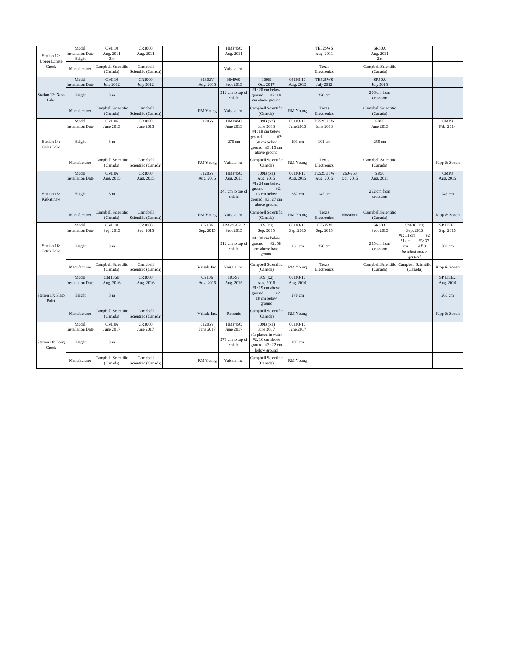| Station 12:                      | Model                              | <b>CM110</b>                          | CR1000                          |                 | HMP45C                     |                                                                                     |                     | <b>TE525WS</b>       |           | SR50A                                 |                                                                                                        |                     |
|----------------------------------|------------------------------------|---------------------------------------|---------------------------------|-----------------|----------------------------|-------------------------------------------------------------------------------------|---------------------|----------------------|-----------|---------------------------------------|--------------------------------------------------------------------------------------------------------|---------------------|
|                                  | <b>Installation Date</b>           | Aug. 2011                             | Aug. 2011                       |                 | Aug. 2011                  |                                                                                     |                     | Aug. 2011            |           | Aug. 2011                             |                                                                                                        |                     |
| <b>Upper Lunate</b><br>Creek     | Height<br>Manufacturer             | 3m<br>Campbell Scientific<br>(Canada) | Campbell<br>Scientific (Canada) |                 | Vaisala Inc.               |                                                                                     |                     | Texas<br>Electronics |           | 2m<br>Campbell Scientific<br>(Canada) |                                                                                                        |                     |
|                                  | Model                              | <b>CM110</b>                          | <b>CR1000</b>                   | 61302V          | HMP60                      | 109B                                                                                | 05103-10            | <b>TE525WS</b>       |           | SR50A                                 |                                                                                                        |                     |
|                                  | <b>Installation Date</b>           | <b>July 2012</b>                      | <b>July 2012</b>                | Aug. 2015       | Sep. 2013                  | Oct. 2017                                                                           | Aug. 2012           | <b>July 2012</b>     |           | <b>July 2015</b>                      |                                                                                                        |                     |
| <b>Station 13: Ness</b><br>Lake  | Height                             | 3 <sub>m</sub>                        |                                 |                 | 212 cm to top of<br>shield | $#1:20$ cm below<br>#2:10<br>ground<br>cm above ground                              |                     | 276 cm               |           | 206 cm from<br>crossarm               |                                                                                                        |                     |
|                                  | Manufacturer                       | Campbell Scientific<br>(Canada)       | Campbell<br>Scientific (Canada) | <b>RM</b> Young | Vaisala Inc.               | Campbell Scientific<br>(Canada)                                                     | <b>RM</b> Young     | Texas<br>Electronics |           | Campbell Scientific<br>(Canada)       |                                                                                                        |                     |
|                                  | Model                              | CM106                                 | CR1000                          | 61205V          | HMP45C                     | 109B(x3)                                                                            | 05103-10            | TE525USW             |           | <b>SR50</b>                           |                                                                                                        | CMP3                |
|                                  | <b>Installation Date</b>           | June 2013                             | June 2013                       |                 | June 2013                  | June 2013                                                                           | June 2013           | June 2013            |           | June 2013                             |                                                                                                        | Feb. 2014           |
| Station 14:<br><b>Coles Lake</b> | Height                             | 3 <sub>m</sub>                        |                                 |                 | 270 cm                     | #1:18 cm below<br>#2:<br>ground<br>50 cm below<br>ground #3:15 cm<br>above ground   | 293 cm              | 101 cm               |           | 259 cm                                |                                                                                                        |                     |
|                                  | Manufacturer                       | Campbell Scientific<br>(Canada)       | Campbell<br>Scientific (Canada) | RM Young        | Vaisala Inc.               | Campbell Scientific<br>(Canada)                                                     | RM Young            | Texas<br>Electronics |           | Campbell Scientific<br>(Canada)       |                                                                                                        | Kipp & Zonen        |
|                                  | Model                              | <b>CM106</b>                          | <b>CR1000</b>                   | 61205V          | HMP45C                     | 109B(x3)                                                                            | 05103-10            | TE525USW             | 260-953   | <b>SR50</b>                           |                                                                                                        | CMP <sub>3</sub>    |
|                                  | <b>Installation Date</b>           | Aug. 2015                             | Aug. 2015                       | Aug. 2015       | Aug. 2015                  | Aug. 2015                                                                           | Aug. 2015           | Aug. 2015            | Oct. 2015 | Aug. 2015                             |                                                                                                        | Aug. 2015           |
| Station 15:<br>Kiskatinaw        | Height                             | 3 <sub>m</sub>                        |                                 |                 | 245 cm to top of<br>shield | #1:24 cm below<br>#2:<br>ground<br>13 cm below<br>ground $#3:27$ cm<br>above ground | 287 cm              | 142 cm               |           | 252 cm from<br>crossarm               |                                                                                                        | 245 cm              |
|                                  | Manufacturer                       | Campbell Scientific<br>(Canada)       | Campbell<br>Scientific (Canada) | <b>RM</b> Young | Vaisala Inc.               | Campbell Scientific<br>(Canada)                                                     | RM Young            | Texas<br>Electronics | Novalynx  | Campbell Scientific<br>(Canada)       |                                                                                                        | Kipp & Zonen        |
|                                  | Model                              | <b>CM110</b>                          | <b>CR1000</b>                   | CS106           | HMP45C212                  | 109(x2)                                                                             | 05103-10            | <b>TE525M</b>        |           | SR50A                                 | CS616(x3)                                                                                              | <b>SP LITE2</b>     |
|                                  | <b>Installation Date</b>           | Sep. 2015                             | Sep. 2015                       | Sep. 2015       | Sep. 2015                  | Sep. 2015                                                                           | Sep. 2015           | Sep. 2015            |           | Sep. 2015                             | Sep. 2015                                                                                              | Sep. 2015           |
| Station 16:<br><b>Tatuk Lake</b> | Height                             | 3 <sub>m</sub>                        |                                 |                 | 212 cm to top of<br>shield | $#1:30$ cm below<br>#2:58<br>ground<br>cm above bare<br>ground                      | 251 cm              | 276 cm               |           | 235 cm from<br>crossarm               | $#2$ :<br>$#1:11 \text{ cm}$<br>$21 \text{ cm}$<br>#3:37<br>All $3$<br>cm<br>installed below<br>ground | 306 cm              |
| Station 17: Plato<br>Point       | Manufacturer                       | Campbell Scientific<br>(Canada)       | Campbell<br>Scientific (Canada) | Vaisala Inc.    | Vaisala Inc.               | Campbell Scientific<br>(Canada)                                                     | RM Young            | Texas<br>Electronics |           | (Canada)                              | Campbell Scientific Campbell Scientific<br>(Canada)                                                    | Kipp & Zonen        |
|                                  | Model                              | <b>CM106B</b>                         | <b>CR1000</b>                   | CS106           | $HC-S3$                    | 109(x2)                                                                             | 05103-10            |                      |           |                                       |                                                                                                        | SP LITE2            |
|                                  | <b>Installation Date</b><br>Height | Aug. 2016<br>3 <sub>m</sub>           | Aug. 2016                       | Aug. 2016       | Aug. 2016                  | Aug. 2016<br>$#1: 19$ cm above<br>$#2$ :<br>ground<br>18 cm below                   | Aug. 2016<br>270 cm |                      |           |                                       |                                                                                                        | Aug. 2016<br>260 cm |
|                                  | Manufacturer                       | Campbell Scientific<br>(Canada)       | Campbell<br>Scientific (Canada) | Vaisala Inc.    | Rotronic                   | ground<br>Campbell Scientific<br>(Canada)                                           | <b>RM</b> Young     |                      |           |                                       |                                                                                                        | Kipp & Zonen        |
| Station 18: Long<br>Creek        | Model                              | <b>CM106</b>                          | CR1000                          | 61205V          | HMP45C                     | 109B(x3)                                                                            | 05103-10            |                      |           |                                       |                                                                                                        |                     |
|                                  | <b>Installation Date</b>           | June 2017                             | June 2017                       | June 2017       | June 2017                  | June 2017                                                                           | June 2017           |                      |           |                                       |                                                                                                        |                     |
|                                  | Height                             | 3 <sub>m</sub>                        |                                 |                 | 278 cm to top of<br>shield | $#1$ : placed in water<br>$#2$ : 16 cm above<br>ground $#3:22$ cm<br>below ground   | 287 cm              |                      |           |                                       |                                                                                                        |                     |
|                                  | Manufacturer                       | Campbell Scientific<br>(Canada)       | Campbell<br>Scientific (Canada) | RM Young        | Vaisala Inc.               | Campbell Scientific<br>(Canada)                                                     | RM Young            |                      |           |                                       |                                                                                                        |                     |